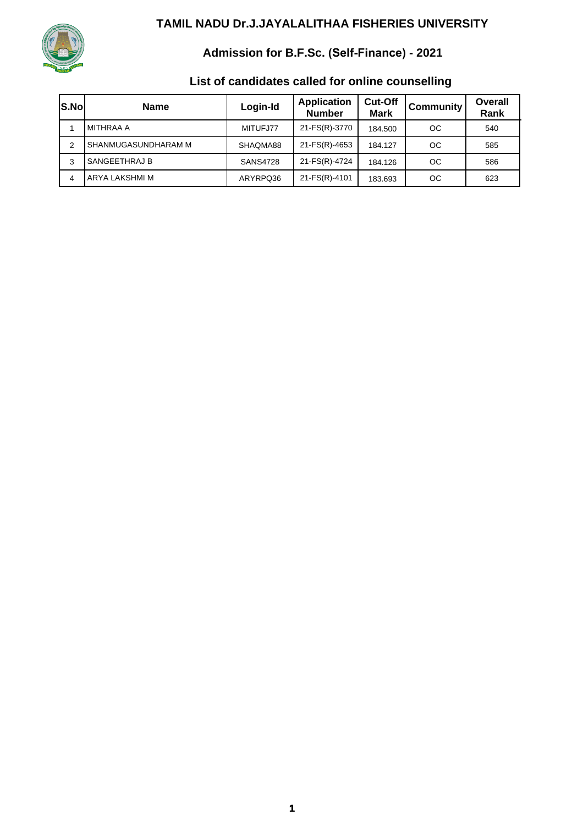

# **Admission for B.F.Sc. (Self-Finance) - 2021**

| SS.No | <b>Name</b>         | Login-Id        | <b>Application</b><br><b>Number</b> | Cut-Off<br><b>Mark</b> | <b>Community</b> | Overall<br>Rank |
|-------|---------------------|-----------------|-------------------------------------|------------------------|------------------|-----------------|
|       | <b>MITHRAA A</b>    | MITUFJ77        | 21-FS(R)-3770                       | 184.500                | <sub>OC</sub>    | 540             |
| 2     | SHANMUGASUNDHARAM M | SHAQMA88        | 21-FS(R)-4653                       | 184.127                | $_{\rm OC}$      | 585             |
| 3     | SANGEETHRAJ B       | <b>SANS4728</b> | 21-FS(R)-4724                       | 184.126                | <sub>OC</sub>    | 586             |
| 4     | ARYA LAKSHMI M      | ARYRPQ36        | 21-FS(R)-4101                       | 183.693                | ОC               | 623             |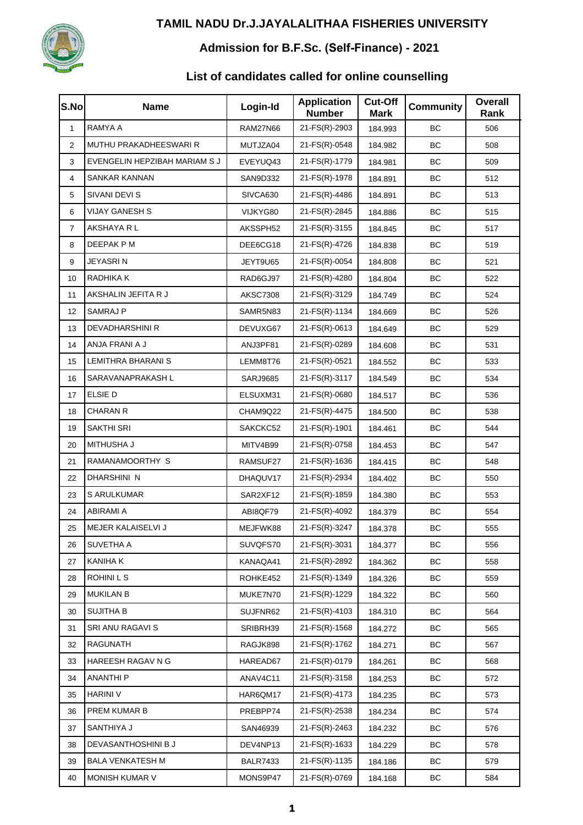

# **Admission for B.F.Sc. (Self-Finance) - 2021**

| S.No           | <b>Name</b>                   | Login-Id        | <b>Application</b><br><b>Number</b> | <b>Cut-Off</b><br><b>Mark</b> | <b>Community</b> | <b>Overall</b><br>Rank |
|----------------|-------------------------------|-----------------|-------------------------------------|-------------------------------|------------------|------------------------|
| $\mathbf{1}$   | RAMYA A                       | <b>RAM27N66</b> | 21-FS(R)-2903                       | 184.993                       | <b>BC</b>        | 506                    |
| $\overline{2}$ | MUTHU PRAKADHEESWARI R        | MUTJZA04        | 21-FS(R)-0548                       | 184.982                       | <b>BC</b>        | 508                    |
| 3              | EVENGELIN HEPZIBAH MARIAM S J | EVEYUQ43        | 21-FS(R)-1779                       | 184.981                       | BC               | 509                    |
| 4              | SANKAR KANNAN                 | SAN9D332        | 21-FS(R)-1978                       | 184.891                       | BC               | 512                    |
| 5              | SIVANI DEVI S                 | SIVCA630        | 21-FS(R)-4486                       | 184.891                       | BC               | 513                    |
| 6              | VIJAY GANESH S                | VIJKYG80        | 21-FS(R)-2845                       | 184.886                       | BC               | 515                    |
| $\overline{7}$ | AKSHAYA R L                   | AKSSPH52        | 21-FS(R)-3155                       | 184.845                       | BC               | 517                    |
| 8              | DEEPAK P M                    | DEE6CG18        | 21-FS(R)-4726                       | 184.838                       | <b>BC</b>        | 519                    |
| 9              | <b>JEYASRIN</b>               | JEYT9U65        | 21-FS(R)-0054                       | 184.808                       | BC               | 521                    |
| 10             | RADHIKA K                     | RAD6GJ97        | 21-FS(R)-4280                       | 184.804                       | BC               | 522                    |
| 11             | AKSHALIN JEFITA R J           | <b>AKSC7308</b> | 21-FS(R)-3129                       | 184.749                       | BC               | 524                    |
| 12             | <b>SAMRAJ P</b>               | SAMR5N83        | 21-FS(R)-1134                       | 184.669                       | BC               | 526                    |
| 13             | <b>DEVADHARSHINI R</b>        | DEVUXG67        | 21-FS(R)-0613                       | 184.649                       | BC               | 529                    |
| 14             | ANJA FRANI A J                | ANJ3PF81        | 21-FS(R)-0289                       | 184.608                       | <b>BC</b>        | 531                    |
| 15             | LEMITHRA BHARANI S            | LEMM8T76        | 21-FS(R)-0521                       | 184.552                       | BC               | 533                    |
| 16             | SARAVANAPRAKASH L             | <b>SARJ9685</b> | 21-FS(R)-3117                       | 184.549                       | BC               | 534                    |
| 17             | ELSIE D                       | ELSUXM31        | 21-FS(R)-0680                       | 184.517                       | BC               | 536                    |
| 18             | CHARAN R                      | CHAM9Q22        | 21-FS(R)-4475                       | 184.500                       | BC               | 538                    |
| 19             | SAKTHI SRI                    | SAKCKC52        | 21-FS(R)-1901                       | 184.461                       | BC               | 544                    |
| 20             | MITHUSHA J                    | MITV4B99        | 21-FS(R)-0758                       | 184.453                       | <b>BC</b>        | 547                    |
| 21             | RAMANAMOORTHY S               | RAMSUF27        | 21-FS(R)-1636                       | 184.415                       | BC               | 548                    |
| 22             | DHARSHINI N                   | DHAQUV17        | 21-FS(R)-2934                       | 184.402                       | BC               | 550                    |
| 23             | S ARULKUMAR                   | SAR2XF12        | 21-FS(R)-1859                       | 184.380                       | BC               | 553                    |
| 24             | ABIRAMI A                     | ABI8QF79        | 21-FS(R)-4092                       | 184.379                       | BC               | 554                    |
| 25             | MEJER KALAISELVI J            | MEJFWK88        | 21-FS(R)-3247                       | 184.378                       | BC               | 555                    |
| 26             | SUVETHA A                     | SUVQFS70        | 21-FS(R)-3031                       | 184.377                       | BC               | 556                    |
| 27             | KANIHA K                      | KANAQA41        | 21-FS(R)-2892                       | 184.362                       | BC               | 558                    |
| 28             | ROHINI L S                    | ROHKE452        | 21-FS(R)-1349                       | 184.326                       | BC               | 559                    |
| 29             | <b>MUKILAN B</b>              | MUKE7N70        | 21-FS(R)-1229                       | 184.322                       | ВC               | 560                    |
| 30             | <b>SUJITHA B</b>              | SUJFNR62        | 21-FS(R)-4103                       | 184.310                       | BC               | 564                    |
| 31             | SRI ANU RAGAVI S              | SRIBRH39        | 21-FS(R)-1568                       | 184.272                       | BC               | 565                    |
| 32             | <b>RAGUNATH</b>               | RAGJK898        | 21-FS(R)-1762                       | 184.271                       | BC               | 567                    |
| 33             | HAREESH RAGAV N G             | HAREAD67        | 21-FS(R)-0179                       | 184.261                       | BC               | 568                    |
| 34             | ANANTHI P                     | ANAV4C11        | 21-FS(R)-3158                       | 184.253                       | BC               | 572                    |
| 35             | <b>HARINI V</b>               | HAR6QM17        | 21-FS(R)-4173                       | 184.235                       | BC               | 573                    |
| 36             | PREM KUMAR B                  | PREBPP74        | 21-FS(R)-2538                       | 184.234                       | BC               | 574                    |
| 37             | SANTHIYA J                    | SAN46939        | 21-FS(R)-2463                       | 184.232                       | BC               | 576                    |
| 38             | DEVASANTHOSHINI B J           | DEV4NP13        | 21-FS(R)-1633                       | 184.229                       | BC               | 578                    |
| 39             | <b>BALA VENKATESH M</b>       | <b>BALR7433</b> | 21-FS(R)-1135                       | 184.186                       | BC               | 579                    |
| 40             | MONISH KUMAR V                | MONS9P47        | 21-FS(R)-0769                       | 184.168                       | BC               | 584                    |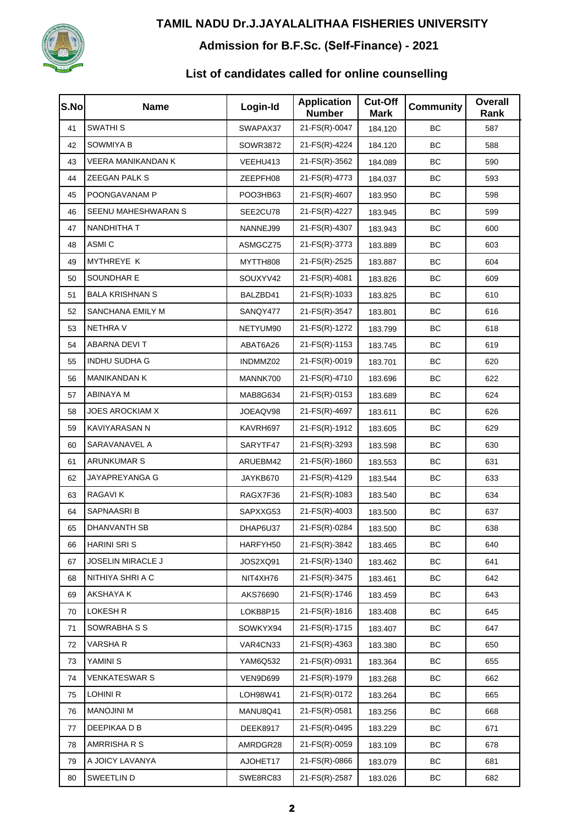

### **Admission for B.F.Sc. (Self-Finance) - 2021**

| S.No | <b>Name</b>               | Login-Id        | <b>Application</b><br><b>Number</b> | Cut-Off<br>Mark | <b>Community</b> | <b>Overall</b><br>Rank |
|------|---------------------------|-----------------|-------------------------------------|-----------------|------------------|------------------------|
| 41   | <b>SWATHI S</b>           | SWAPAX37        | 21-FS(R)-0047                       | 184.120         | BC               | 587                    |
| 42   | <b>SOWMIYA B</b>          | SOWR3872        | 21-FS(R)-4224                       | 184.120         | <b>BC</b>        | 588                    |
| 43   | <b>VEERA MANIKANDAN K</b> | VEEHU413        | 21-FS(R)-3562                       | 184.089         | <b>BC</b>        | 590                    |
| 44   | ZEEGAN PALK S             | ZEEPFH08        | 21-FS(R)-4773                       | 184.037         | BC               | 593                    |
| 45   | POONGAVANAM P             | POO3HB63        | 21-FS(R)-4607                       | 183.950         | BC               | 598                    |
| 46   | SEENU MAHESHWARAN S       | SEE2CU78        | 21-FS(R)-4227                       | 183.945         | BC               | 599                    |
| 47   | NANDHITHA T               | NANNEJ99        | 21-FS(R)-4307                       | 183.943         | BC               | 600                    |
| 48   | ASMI C                    | ASMGCZ75        | 21-FS(R)-3773                       | 183.889         | BC               | 603                    |
| 49   | MYTHREYE K                | MYTTH808        | 21-FS(R)-2525                       | 183.887         | <b>BC</b>        | 604                    |
| 50   | SOUNDHAR E                | SOUXYV42        | 21-FS(R)-4081                       | 183.826         | BC               | 609                    |
| 51   | <b>BALA KRISHNAN S</b>    | BALZBD41        | 21-FS(R)-1033                       | 183.825         | BC               | 610                    |
| 52   | SANCHANA EMILY M          | SANQY477        | 21-FS(R)-3547                       | 183.801         | BC               | 616                    |
| 53   | <b>NETHRA V</b>           | NETYUM90        | 21-FS(R)-1272                       | 183.799         | BC               | 618                    |
| 54   | ABARNA DEVIT              | ABAT6A26        | 21-FS(R)-1153                       | 183.745         | BC               | 619                    |
| 55   | <b>INDHU SUDHA G</b>      | INDMMZ02        | 21-FS(R)-0019                       | 183.701         | BC               | 620                    |
| 56   | <b>MANIKANDAN K</b>       | MANNK700        | 21-FS(R)-4710                       | 183.696         | BC               | 622                    |
| 57   | ABINAYA M                 | MAB8G634        | 21-FS(R)-0153                       | 183.689         | BC               | 624                    |
| 58   | <b>JOES AROCKIAM X</b>    | JOEAQV98        | 21-FS(R)-4697                       | 183.611         | BC               | 626                    |
| 59   | KAVIYARASAN N             | KAVRH697        | 21-FS(R)-1912                       | 183.605         | BC               | 629                    |
| 60   | SARAVANAVEL A             | SARYTF47        | 21-FS(R)-3293                       | 183.598         | BC               | 630                    |
| 61   | <b>ARUNKUMAR S</b>        | ARUEBM42        | 21-FS(R)-1860                       | 183.553         | <b>BC</b>        | 631                    |
| 62   | JAYAPREYANGA G            | JAYKB670        | 21-FS(R)-4129                       | 183.544         | BC               | 633                    |
| 63   | <b>RAGAVIK</b>            | RAGX7F36        | 21-FS(R)-1083                       | 183.540         | BC               | 634                    |
| 64   | SAPNAASRI B               | SAPXXG53        | 21-FS(R)-4003                       | 183.500         | BC               | 637                    |
| 65   | DHANVANTH SB              | DHAP6U37        | 21-FS(R)-0284                       | 183.500         | BC               | 638                    |
| 66   | <b>HARINI SRI S</b>       | HARFYH50        | 21-FS(R)-3842                       | 183.465         | BC               | 640                    |
| 67   | JOSELIN MIRACLE J         | JOS2XQ91        | 21-FS(R)-1340                       | 183.462         | BC               | 641                    |
| 68   | NITHIYA SHRI A C          | NIT4XH76        | 21-FS(R)-3475                       | 183.461         | BC               | 642                    |
| 69   | AKSHAYA K                 | AKS76690        | 21-FS(R)-1746                       | 183.459         | BC               | 643                    |
| 70   | LOKESH R                  | LOKB8P15        | 21-FS(R)-1816                       | 183.408         | BC               | 645                    |
| 71   | SOWRABHA S S              | SOWKYX94        | 21-FS(R)-1715                       | 183.407         | <b>BC</b>        | 647                    |
| 72   | <b>VARSHAR</b>            | VAR4CN33        | 21-FS(R)-4363                       | 183.380         | BC               | 650                    |
| 73   | YAMINI S                  | YAM6Q532        | 21-FS(R)-0931                       | 183.364         | BC               | 655                    |
| 74   | <b>VENKATESWAR S</b>      | VEN9D699        | 21-FS(R)-1979                       | 183.268         | ВC               | 662                    |
| 75   | LOHINI R                  | LOH98W41        | 21-FS(R)-0172                       | 183.264         | BC               | 665                    |
| 76   | <b>MANOJINI M</b>         | MANU8Q41        | 21-FS(R)-0581                       | 183.256         | BC               | 668                    |
| 77   | DEEPIKAA D B              | <b>DEEK8917</b> | 21-FS(R)-0495                       | 183.229         | BC               | 671                    |
| 78   | AMRRISHA R S              | AMRDGR28        | 21-FS(R)-0059                       | 183.109         | BC               | 678                    |
| 79   | A JOICY LAVANYA           | AJOHET17        | 21-FS(R)-0866                       | 183.079         | BC               | 681                    |
| 80   | SWEETLIN D                | SWE8RC83        | 21-FS(R)-2587                       | 183.026         | BC               | 682                    |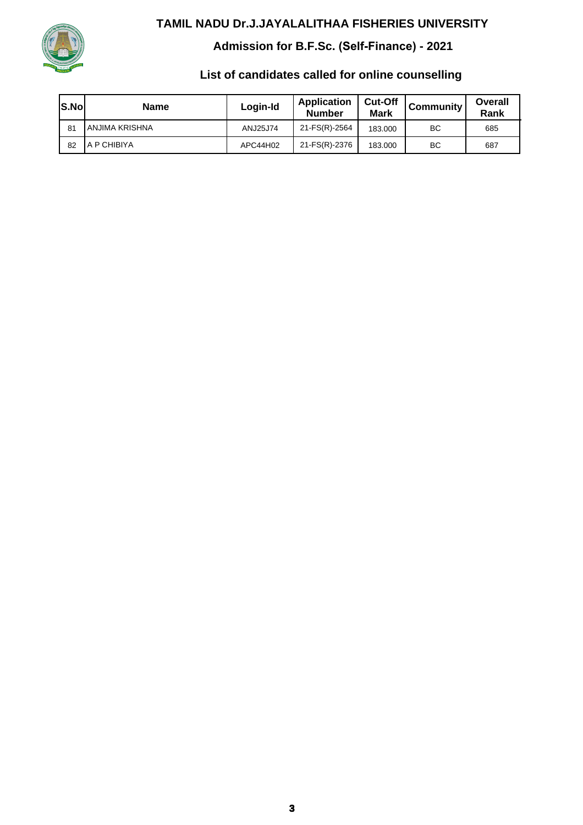

### **Admission for B.F.Sc. (Self-Finance) - 2021**

| <b>S.Nol</b> | <b>Name</b>    | Login-Id | <b>Application</b><br><b>Number</b> | <b>Cut-Off</b><br><b>Mark</b> | <b>Community</b> | Overall<br>Rank |
|--------------|----------------|----------|-------------------------------------|-------------------------------|------------------|-----------------|
| 81           | ANJIMA KRISHNA | ANJ25J74 | 21-FS(R)-2564                       | 183.000                       | BC               | 685             |
| 82           | A P CHIBIYA    | APC44H02 | 21-FS(R)-2376                       | 183.000                       | BC               | 687             |